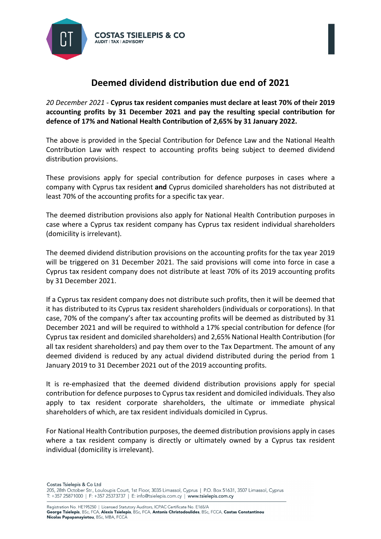

## **Deemed dividend distribution due end of 2021**

*20 December 2021 -* **Cyprus tax resident companies must declare at least 70% of their 2019 accounting profits by 31 December 2021 and pay the resulting special contribution for defence of 17% and National Health Contribution of 2,65% by 31 January 2022.** 

The above is provided in the Special Contribution for Defence Law and the National Health Contribution Law with respect to accounting profits being subject to deemed dividend distribution provisions.

These provisions apply for special contribution for defence purposes in cases where a company with Cyprus tax resident **and** Cyprus domiciled shareholders has not distributed at least 70% of the accounting profits for a specific tax year.

The deemed distribution provisions also apply for National Health Contribution purposes in case where a Cyprus tax resident company has Cyprus tax resident individual shareholders (domicility is irrelevant).

The deemed dividend distribution provisions on the accounting profits for the tax year 2019 will be triggered on 31 December 2021. The said provisions will come into force in case a Cyprus tax resident company does not distribute at least 70% of its 2019 accounting profits by 31 December 2021.

If a Cyprus tax resident company does not distribute such profits, then it will be deemed that it has distributed to its Cyprus tax resident shareholders (individuals or corporations). In that case, 70% of the company's after tax accounting profits will be deemed as distributed by 31 December 2021 and will be required to withhold a 17% special contribution for defence (for Cyprus tax resident and domiciled shareholders) and 2,65% National Health Contribution (for all tax resident shareholders) and pay them over to the Tax Department. The amount of any deemed dividend is reduced by any actual dividend distributed during the period from 1 January 2019 to 31 December 2021 out of the 2019 accounting profits.

It is re-emphasized that the deemed dividend distribution provisions apply for special contribution for defence purposes to Cyprus tax resident and domiciled individuals. They also apply to tax resident corporate shareholders, the ultimate or immediate physical shareholders of which, are tax resident individuals domiciled in Cyprus.

For National Health Contribution purposes, the deemed distribution provisions apply in cases where a tax resident company is directly or ultimately owned by a Cyprus tax resident individual (domicility is irrelevant).

Costas Tsielepis & Co Ltd 205, 28th October Str., Louloupis Court, 1st Floor, 3035 Limassol, Cyprus | P.O. Box 51631, 3507 Limassol, Cyprus T: +357 25871000 | F: +357 25373737 | E: info@tsielepis.com.cy | www.tsielepis.com.cy

Registration No. HE195250 | Licensed Statutory Auditors, ICPAC Certificate No. E165/A George Tsielepis, BSc, FCA, Alexis Tsielepis, BSc, FCA, Antonis Christodoulides, BSc, FCCA, Costas Constantinou Nicolas Papapanayiotou, BSc, MBA, FCCA